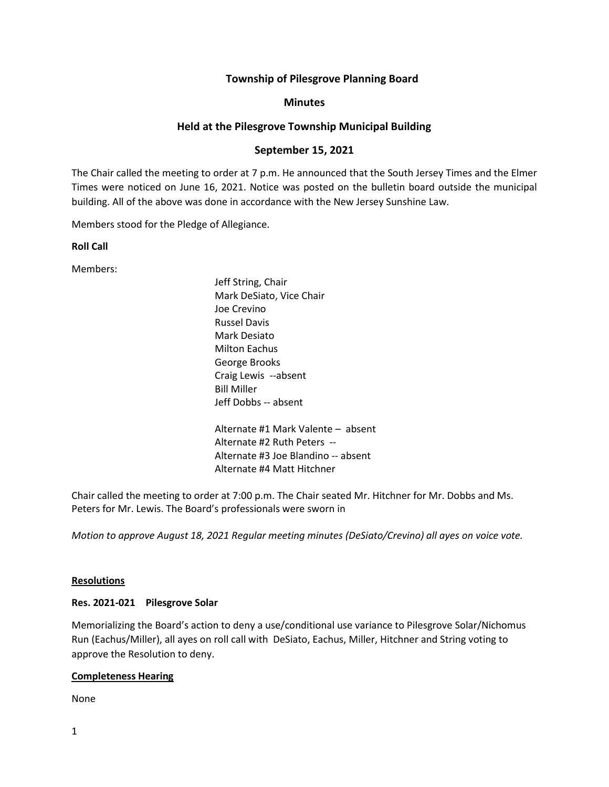# **Township of Pilesgrove Planning Board**

## **Minutes**

# **Held at the Pilesgrove Township Municipal Building**

# **September 15, 2021**

The Chair called the meeting to order at 7 p.m. He announced that the South Jersey Times and the Elmer Times were noticed on June 16, 2021. Notice was posted on the bulletin board outside the municipal building. All of the above was done in accordance with the New Jersey Sunshine Law.

Members stood for the Pledge of Allegiance.

## **Roll Call**

Members:

Jeff String, Chair Mark DeSiato, Vice Chair Joe Crevino Russel Davis Mark Desiato Milton Eachus George Brooks Craig Lewis --absent Bill Miller Jeff Dobbs -- absent Alternate #1 Mark Valente – absent Alternate #2 Ruth Peters -- Alternate #3 Joe Blandino -- absent

Alternate #4 Matt Hitchner

Chair called the meeting to order at 7:00 p.m. The Chair seated Mr. Hitchner for Mr. Dobbs and Ms. Peters for Mr. Lewis. The Board's professionals were sworn in

*Motion to approve August 18, 2021 Regular meeting minutes (DeSiato/Crevino) all ayes on voice vote.*

## **Resolutions**

## **Res. 2021-021 Pilesgrove Solar**

Memorializing the Board's action to deny a use/conditional use variance to Pilesgrove Solar/Nichomus Run (Eachus/Miller), all ayes on roll call with DeSiato, Eachus, Miller, Hitchner and String voting to approve the Resolution to deny.

## **Completeness Hearing**

None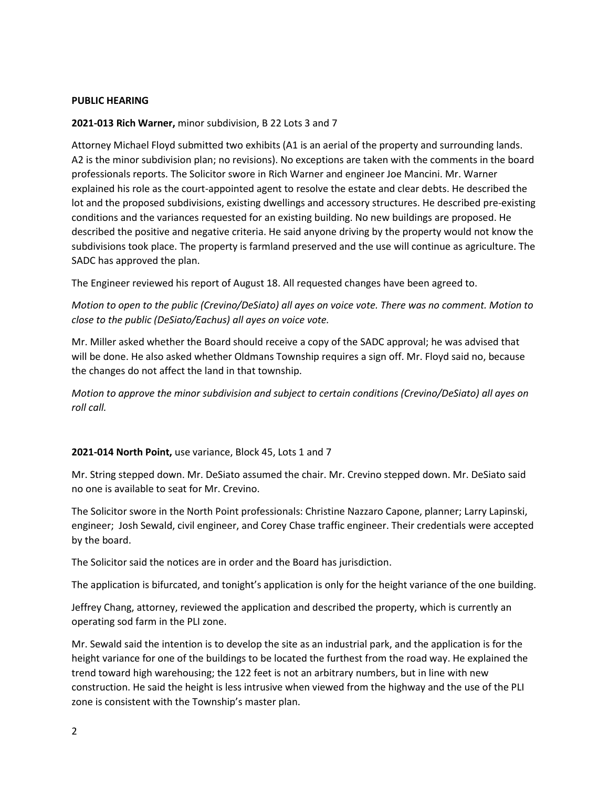#### **PUBLIC HEARING**

#### **2021-013 Rich Warner,** minor subdivision, B 22 Lots 3 and 7

Attorney Michael Floyd submitted two exhibits (A1 is an aerial of the property and surrounding lands. A2 is the minor subdivision plan; no revisions). No exceptions are taken with the comments in the board professionals reports. The Solicitor swore in Rich Warner and engineer Joe Mancini. Mr. Warner explained his role as the court-appointed agent to resolve the estate and clear debts. He described the lot and the proposed subdivisions, existing dwellings and accessory structures. He described pre-existing conditions and the variances requested for an existing building. No new buildings are proposed. He described the positive and negative criteria. He said anyone driving by the property would not know the subdivisions took place. The property is farmland preserved and the use will continue as agriculture. The SADC has approved the plan.

The Engineer reviewed his report of August 18. All requested changes have been agreed to.

*Motion to open to the public (Crevino/DeSiato) all ayes on voice vote. There was no comment. Motion to close to the public (DeSiato/Eachus) all ayes on voice vote.*

Mr. Miller asked whether the Board should receive a copy of the SADC approval; he was advised that will be done. He also asked whether Oldmans Township requires a sign off. Mr. Floyd said no, because the changes do not affect the land in that township.

*Motion to approve the minor subdivision and subject to certain conditions (Crevino/DeSiato) all ayes on roll call.*

#### **2021-014 North Point,** use variance, Block 45, Lots 1 and 7

Mr. String stepped down. Mr. DeSiato assumed the chair. Mr. Crevino stepped down. Mr. DeSiato said no one is available to seat for Mr. Crevino.

The Solicitor swore in the North Point professionals: Christine Nazzaro Capone, planner; Larry Lapinski, engineer; Josh Sewald, civil engineer, and Corey Chase traffic engineer. Their credentials were accepted by the board.

The Solicitor said the notices are in order and the Board has jurisdiction.

The application is bifurcated, and tonight's application is only for the height variance of the one building.

Jeffrey Chang, attorney, reviewed the application and described the property, which is currently an operating sod farm in the PLI zone.

Mr. Sewald said the intention is to develop the site as an industrial park, and the application is for the height variance for one of the buildings to be located the furthest from the road way. He explained the trend toward high warehousing; the 122 feet is not an arbitrary numbers, but in line with new construction. He said the height is less intrusive when viewed from the highway and the use of the PLI zone is consistent with the Township's master plan.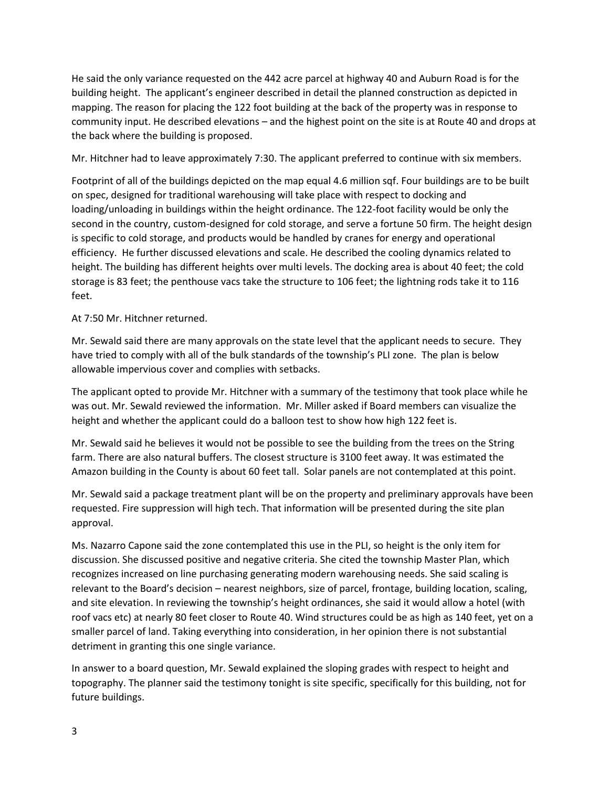He said the only variance requested on the 442 acre parcel at highway 40 and Auburn Road is for the building height. The applicant's engineer described in detail the planned construction as depicted in mapping. The reason for placing the 122 foot building at the back of the property was in response to community input. He described elevations – and the highest point on the site is at Route 40 and drops at the back where the building is proposed.

Mr. Hitchner had to leave approximately 7:30. The applicant preferred to continue with six members.

Footprint of all of the buildings depicted on the map equal 4.6 million sqf. Four buildings are to be built on spec, designed for traditional warehousing will take place with respect to docking and loading/unloading in buildings within the height ordinance. The 122-foot facility would be only the second in the country, custom-designed for cold storage, and serve a fortune 50 firm. The height design is specific to cold storage, and products would be handled by cranes for energy and operational efficiency. He further discussed elevations and scale. He described the cooling dynamics related to height. The building has different heights over multi levels. The docking area is about 40 feet; the cold storage is 83 feet; the penthouse vacs take the structure to 106 feet; the lightning rods take it to 116 feet.

## At 7:50 Mr. Hitchner returned.

Mr. Sewald said there are many approvals on the state level that the applicant needs to secure. They have tried to comply with all of the bulk standards of the township's PLI zone. The plan is below allowable impervious cover and complies with setbacks.

The applicant opted to provide Mr. Hitchner with a summary of the testimony that took place while he was out. Mr. Sewald reviewed the information. Mr. Miller asked if Board members can visualize the height and whether the applicant could do a balloon test to show how high 122 feet is.

Mr. Sewald said he believes it would not be possible to see the building from the trees on the String farm. There are also natural buffers. The closest structure is 3100 feet away. It was estimated the Amazon building in the County is about 60 feet tall. Solar panels are not contemplated at this point.

Mr. Sewald said a package treatment plant will be on the property and preliminary approvals have been requested. Fire suppression will high tech. That information will be presented during the site plan approval.

Ms. Nazarro Capone said the zone contemplated this use in the PLI, so height is the only item for discussion. She discussed positive and negative criteria. She cited the township Master Plan, which recognizes increased on line purchasing generating modern warehousing needs. She said scaling is relevant to the Board's decision – nearest neighbors, size of parcel, frontage, building location, scaling, and site elevation. In reviewing the township's height ordinances, she said it would allow a hotel (with roof vacs etc) at nearly 80 feet closer to Route 40. Wind structures could be as high as 140 feet, yet on a smaller parcel of land. Taking everything into consideration, in her opinion there is not substantial detriment in granting this one single variance.

In answer to a board question, Mr. Sewald explained the sloping grades with respect to height and topography. The planner said the testimony tonight is site specific, specifically for this building, not for future buildings.